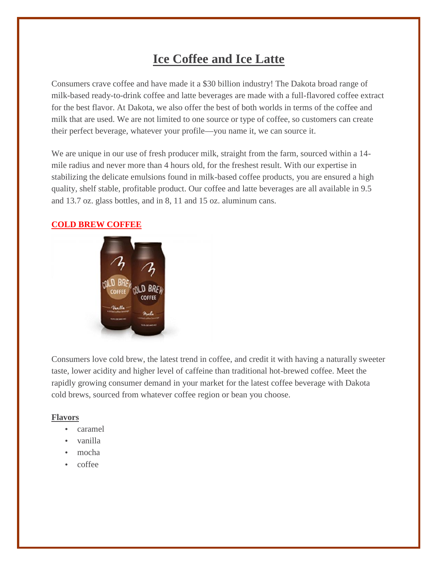# **Ice Coffee and Ice Latte**

Consumers crave coffee and have made it a \$30 billion industry! The Dakota broad range of milk-based ready-to-drink coffee and latte beverages are made with a full-flavored coffee extract for the best flavor. At Dakota, we also offer the best of both worlds in terms of the coffee and milk that are used. We are not limited to one source or type of coffee, so customers can create their perfect beverage, whatever your profile—you name it, we can source it.

We are unique in our use of fresh producer milk, straight from the farm, sourced within a 14 mile radius and never more than 4 hours old, for the freshest result. With our expertise in stabilizing the delicate emulsions found in milk-based coffee products, you are ensured a high quality, shelf stable, profitable product. Our coffee and latte beverages are all available in 9.5 and 13.7 oz. glass bottles, and in 8, 11 and 15 oz. aluminum cans.

## **COLD BREW COFFEE**



Consumers love cold brew, the latest trend in coffee, and credit it with having a naturally sweeter taste, lower acidity and higher level of caffeine than traditional hot-brewed coffee. Meet the rapidly growing consumer demand in your market for the latest coffee beverage with Dakota cold brews, sourced from whatever coffee region or bean you choose.

#### **Flavors**

- caramel
- vanilla
- mocha
- coffee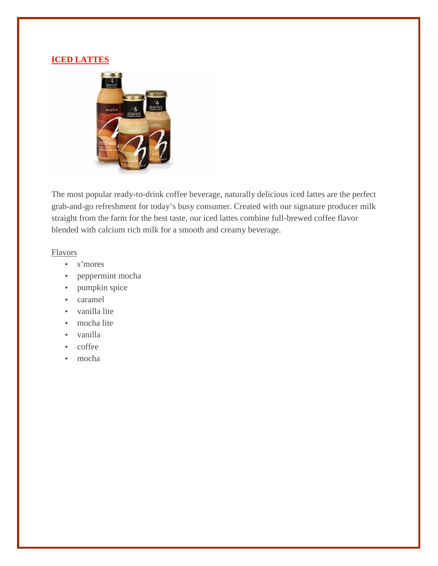## **ICED LATTES**



The most popular ready-to-drink coffee beverage, naturally delicious iced lattes are the perfect grab-and-go refreshment for today's busy consumer. Created with our signature producer milk straight from the farm for the best taste, our iced lattes combine full-brewed coffee flavor blended with calcium rich milk for a smooth and creamy beverage.

#### Flavors

- s'mores
- peppermint mocha
- pumpkin spice
- caramel
- vanilla lite
- mocha lite
- vanilla
- coffee
- mocha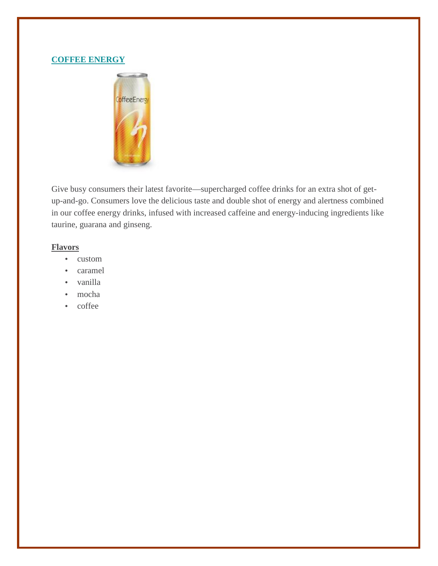## **COFFEE ENERGY**



Give busy consumers their latest favorite—supercharged coffee drinks for an extra shot of get up-and-go. Consumers love the delicious taste and double shot of energy and alertness combined in our coffee energy drinks, infused with increased caffeine and energy-inducing ingredients like taurine, guarana and ginseng.

#### **Flavors**

- custom
- caramel
- vanilla
- mocha
- ) coffee